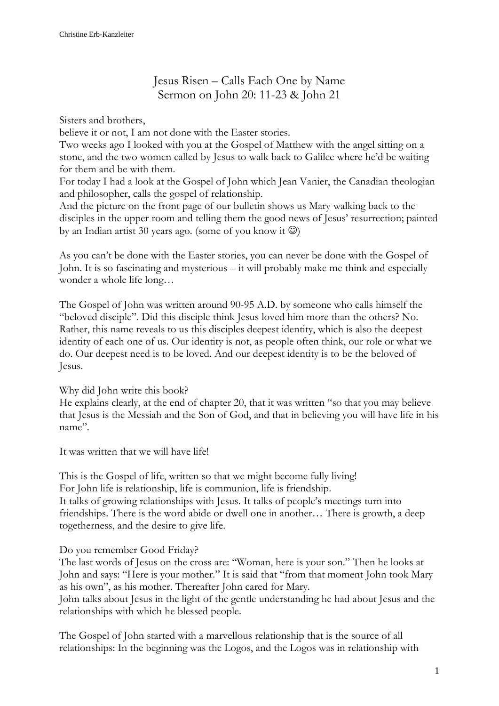## Jesus Risen – Calls Each One by Name Sermon on John 20: 11-23 & John 21

Sisters and brothers,

believe it or not, I am not done with the Easter stories.

Two weeks ago I looked with you at the Gospel of Matthew with the angel sitting on a stone, and the two women called by Jesus to walk back to Galilee where he'd be waiting for them and be with them.

For today I had a look at the Gospel of John which Jean Vanier, the Canadian theologian and philosopher, calls the gospel of relationship.

And the picture on the front page of our bulletin shows us Mary walking back to the disciples in the upper room and telling them the good news of Jesus' resurrection; painted by an Indian artist 30 years ago. (some of you know it  $\circledcirc$ )

As you can't be done with the Easter stories, you can never be done with the Gospel of John. It is so fascinating and mysterious – it will probably make me think and especially wonder a whole life long…

The Gospel of John was written around 90-95 A.D. by someone who calls himself the "beloved disciple". Did this disciple think Jesus loved him more than the others? No. Rather, this name reveals to us this disciples deepest identity, which is also the deepest identity of each one of us. Our identity is not, as people often think, our role or what we do. Our deepest need is to be loved. And our deepest identity is to be the beloved of Jesus.

Why did John write this book?

He explains clearly, at the end of chapter 20, that it was written "so that you may believe that Jesus is the Messiah and the Son of God, and that in believing you will have life in his name".

It was written that we will have life!

This is the Gospel of life, written so that we might become fully living! For John life is relationship, life is communion, life is friendship. It talks of growing relationships with Jesus. It talks of people's meetings turn into friendships. There is the word abide or dwell one in another… There is growth, a deep togetherness, and the desire to give life.

## Do you remember Good Friday?

The last words of Jesus on the cross are: "Woman, here is your son." Then he looks at John and says: "Here is your mother." It is said that "from that moment John took Mary as his own", as his mother. Thereafter John cared for Mary.

John talks about Jesus in the light of the gentle understanding he had about Jesus and the relationships with which he blessed people.

The Gospel of John started with a marvellous relationship that is the source of all relationships: In the beginning was the Logos, and the Logos was in relationship with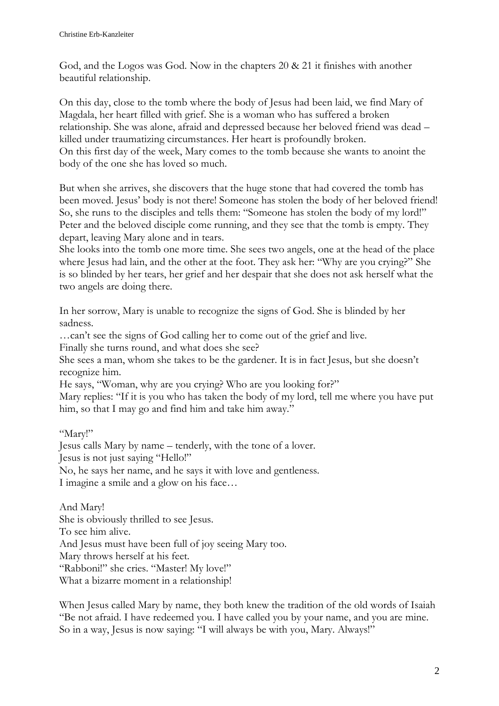God, and the Logos was God. Now in the chapters 20 & 21 it finishes with another beautiful relationship.

On this day, close to the tomb where the body of Jesus had been laid, we find Mary of Magdala, her heart filled with grief. She is a woman who has suffered a broken relationship. She was alone, afraid and depressed because her beloved friend was dead – killed under traumatizing circumstances. Her heart is profoundly broken. On this first day of the week, Mary comes to the tomb because she wants to anoint the body of the one she has loved so much.

But when she arrives, she discovers that the huge stone that had covered the tomb has been moved. Jesus' body is not there! Someone has stolen the body of her beloved friend! So, she runs to the disciples and tells them: "Someone has stolen the body of my lord!" Peter and the beloved disciple come running, and they see that the tomb is empty. They depart, leaving Mary alone and in tears.

She looks into the tomb one more time. She sees two angels, one at the head of the place where Jesus had lain, and the other at the foot. They ask her: "Why are you crying?" She is so blinded by her tears, her grief and her despair that she does not ask herself what the two angels are doing there.

In her sorrow, Mary is unable to recognize the signs of God. She is blinded by her sadness.

…can't see the signs of God calling her to come out of the grief and live.

Finally she turns round, and what does she see?

She sees a man, whom she takes to be the gardener. It is in fact Jesus, but she doesn't recognize him.

He says, "Woman, why are you crying? Who are you looking for?"

Mary replies: "If it is you who has taken the body of my lord, tell me where you have put him, so that I may go and find him and take him away."

"Mary!"

Jesus calls Mary by name – tenderly, with the tone of a lover.

Jesus is not just saying "Hello!"

No, he says her name, and he says it with love and gentleness.

I imagine a smile and a glow on his face…

And Mary! She is obviously thrilled to see Jesus. To see him alive. And Jesus must have been full of joy seeing Mary too. Mary throws herself at his feet. "Rabboni!" she cries. "Master! My love!" What a bizarre moment in a relationship!

When Jesus called Mary by name, they both knew the tradition of the old words of Isaiah "Be not afraid. I have redeemed you. I have called you by your name, and you are mine. So in a way, Jesus is now saying: "I will always be with you, Mary. Always!"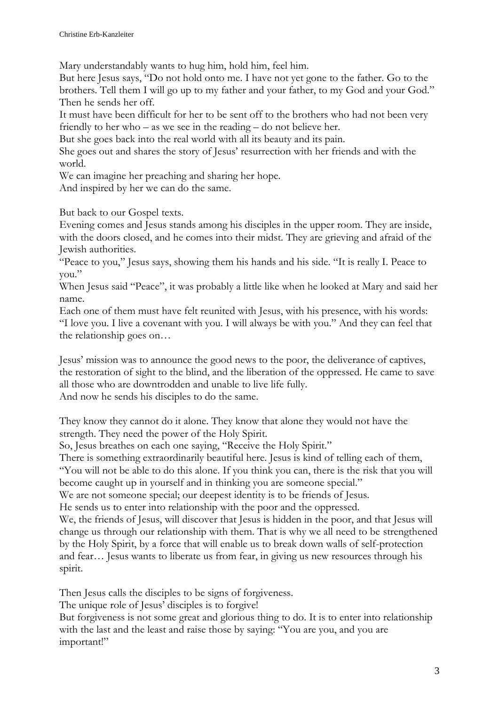Mary understandably wants to hug him, hold him, feel him.

But here Jesus says, "Do not hold onto me. I have not yet gone to the father. Go to the brothers. Tell them I will go up to my father and your father, to my God and your God." Then he sends her off.

It must have been difficult for her to be sent off to the brothers who had not been very friendly to her who – as we see in the reading – do not believe her.

But she goes back into the real world with all its beauty and its pain.

She goes out and shares the story of Jesus' resurrection with her friends and with the world.

We can imagine her preaching and sharing her hope.

And inspired by her we can do the same.

But back to our Gospel texts.

Evening comes and Jesus stands among his disciples in the upper room. They are inside, with the doors closed, and he comes into their midst. They are grieving and afraid of the Jewish authorities.

"Peace to you," Jesus says, showing them his hands and his side. "It is really I. Peace to you."

When Jesus said "Peace", it was probably a little like when he looked at Mary and said her name.

Each one of them must have felt reunited with Jesus, with his presence, with his words: "I love you. I live a covenant with you. I will always be with you." And they can feel that the relationship goes on…

Jesus' mission was to announce the good news to the poor, the deliverance of captives, the restoration of sight to the blind, and the liberation of the oppressed. He came to save all those who are downtrodden and unable to live life fully. And now he sends his disciples to do the same.

They know they cannot do it alone. They know that alone they would not have the strength. They need the power of the Holy Spirit.

So, Jesus breathes on each one saying, "Receive the Holy Spirit."

There is something extraordinarily beautiful here. Jesus is kind of telling each of them, "You will not be able to do this alone. If you think you can, there is the risk that you will become caught up in yourself and in thinking you are someone special."

We are not someone special; our deepest identity is to be friends of Jesus.

He sends us to enter into relationship with the poor and the oppressed.

We, the friends of Jesus, will discover that Jesus is hidden in the poor, and that Jesus will change us through our relationship with them. That is why we all need to be strengthened by the Holy Spirit, by a force that will enable us to break down walls of self-protection and fear… Jesus wants to liberate us from fear, in giving us new resources through his spirit.

Then Jesus calls the disciples to be signs of forgiveness.

The unique role of Jesus' disciples is to forgive!

But forgiveness is not some great and glorious thing to do. It is to enter into relationship with the last and the least and raise those by saying: "You are you, and you are important!"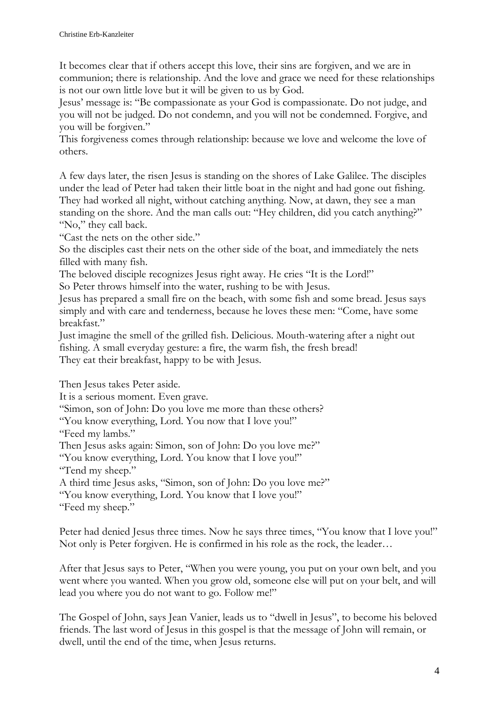It becomes clear that if others accept this love, their sins are forgiven, and we are in communion; there is relationship. And the love and grace we need for these relationships is not our own little love but it will be given to us by God.

Jesus' message is: "Be compassionate as your God is compassionate. Do not judge, and you will not be judged. Do not condemn, and you will not be condemned. Forgive, and you will be forgiven."

This forgiveness comes through relationship: because we love and welcome the love of others.

A few days later, the risen Jesus is standing on the shores of Lake Galilee. The disciples under the lead of Peter had taken their little boat in the night and had gone out fishing. They had worked all night, without catching anything. Now, at dawn, they see a man standing on the shore. And the man calls out: "Hey children, did you catch anything?" "No," they call back.

"Cast the nets on the other side."

So the disciples cast their nets on the other side of the boat, and immediately the nets filled with many fish.

The beloved disciple recognizes Jesus right away. He cries "It is the Lord!"

So Peter throws himself into the water, rushing to be with Jesus.

Jesus has prepared a small fire on the beach, with some fish and some bread. Jesus says simply and with care and tenderness, because he loves these men: "Come, have some breakfast."

Just imagine the smell of the grilled fish. Delicious. Mouth-watering after a night out fishing. A small everyday gesture: a fire, the warm fish, the fresh bread! They eat their breakfast, happy to be with Jesus.

Then Jesus takes Peter aside.

It is a serious moment. Even grave.

"Simon, son of John: Do you love me more than these others?

"You know everything, Lord. You now that I love you!"

"Feed my lambs."

Then Jesus asks again: Simon, son of John: Do you love me?"

"You know everything, Lord. You know that I love you!"

"Tend my sheep."

A third time Jesus asks, "Simon, son of John: Do you love me?"

"You know everything, Lord. You know that I love you!"

"Feed my sheep."

Peter had denied Jesus three times. Now he says three times, "You know that I love you!" Not only is Peter forgiven. He is confirmed in his role as the rock, the leader…

After that Jesus says to Peter, "When you were young, you put on your own belt, and you went where you wanted. When you grow old, someone else will put on your belt, and will lead you where you do not want to go. Follow me!"

The Gospel of John, says Jean Vanier, leads us to "dwell in Jesus", to become his beloved friends. The last word of Jesus in this gospel is that the message of John will remain, or dwell, until the end of the time, when Jesus returns.